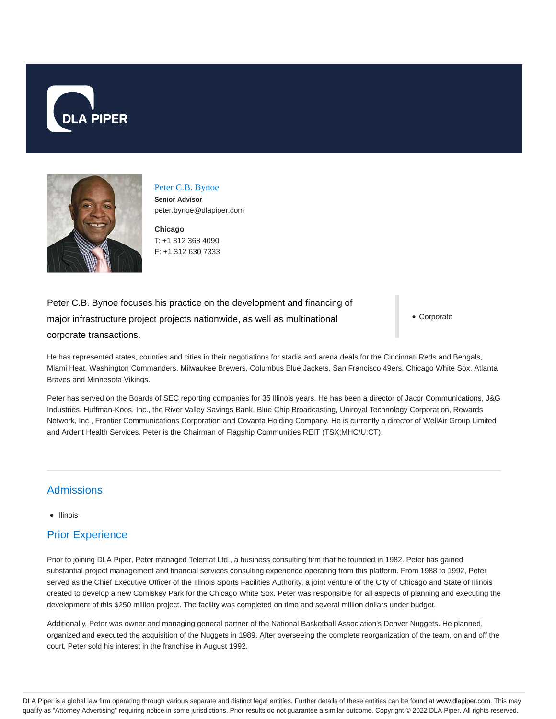



Peter C.B. Bynoe **Senior Advisor** peter.bynoe@dlapiper.com

**Chicago** T: +1 312 368 4090 F: +1 312 630 7333

Peter C.B. Bynoe focuses his practice on the development and financing of major infrastructure project projects nationwide, as well as multinational corporate transactions.

Corporate

He has represented states, counties and cities in their negotiations for stadia and arena deals for the Cincinnati Reds and Bengals, Miami Heat, Washington Commanders, Milwaukee Brewers, Columbus Blue Jackets, San Francisco 49ers, Chicago White Sox, Atlanta Braves and Minnesota Vikings.

Peter has served on the Boards of SEC reporting companies for 35 Illinois years. He has been a director of Jacor Communications, J&G Industries, Huffman-Koos, Inc., the River Valley Savings Bank, Blue Chip Broadcasting, Uniroyal Technology Corporation, Rewards Network, Inc., Frontier Communications Corporation and Covanta Holding Company. He is currently a director of WellAir Group Limited and Ardent Health Services. Peter is the Chairman of Flagship Communities REIT (TSX;MHC/U:CT).

#### Admissions

#### • Illinois

# Prior Experience

Prior to joining DLA Piper, Peter managed Telemat Ltd., a business consulting firm that he founded in 1982. Peter has gained substantial project management and financial services consulting experience operating from this platform. From 1988 to 1992, Peter served as the Chief Executive Officer of the Illinois Sports Facilities Authority, a joint venture of the City of Chicago and State of Illinois created to develop a new Comiskey Park for the Chicago White Sox. Peter was responsible for all aspects of planning and executing the development of this \$250 million project. The facility was completed on time and several million dollars under budget.

Additionally, Peter was owner and managing general partner of the National Basketball Association's Denver Nuggets. He planned, organized and executed the acquisition of the Nuggets in 1989. After overseeing the complete reorganization of the team, on and off the court, Peter sold his interest in the franchise in August 1992.

DLA Piper is a global law firm operating through various separate and distinct legal entities. Further details of these entities can be found at www.dlapiper.com. This may qualify as "Attorney Advertising" requiring notice in some jurisdictions. Prior results do not guarantee a similar outcome. Copyright @ 2022 DLA Piper. All rights reserved.